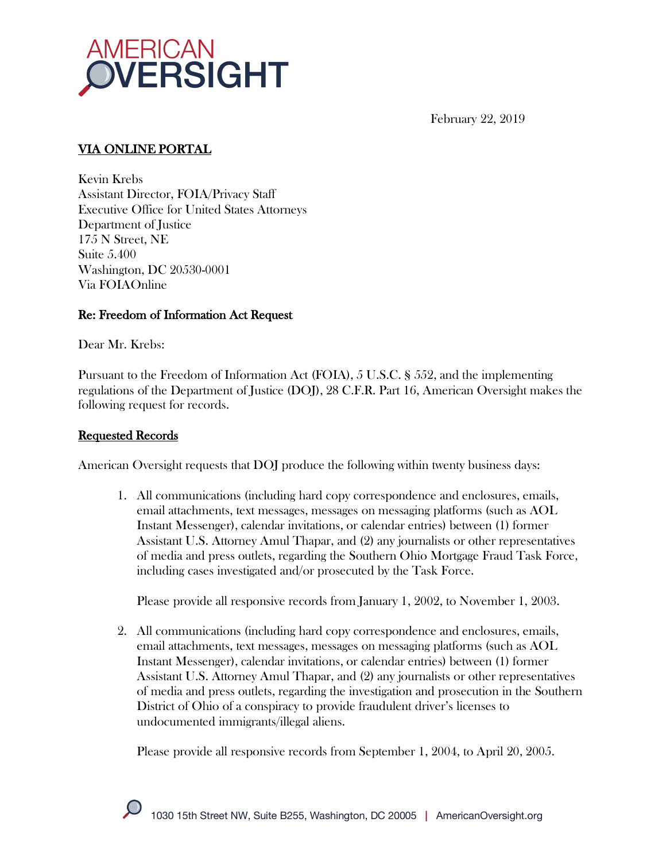

February 22, 2019

# VIA ONLINE PORTAL

Kevin Krebs Assistant Director, FOIA/Privacy Staff Executive Office for United States Attorneys Department of Justice 175 N Street, NE Suite 5.400 Washington, DC 20530-0001 Via FOIAOnline

# Re: Freedom of Information Act Request

Dear Mr. Krebs:

Pursuant to the Freedom of Information Act (FOIA), 5 U.S.C. § 552, and the implementing regulations of the Department of Justice (DOJ), 28 C.F.R. Part 16, American Oversight makes the following request for records.

# Requested Records

American Oversight requests that DOJ produce the following within twenty business days:

1. All communications (including hard copy correspondence and enclosures, emails, email attachments, text messages, messages on messaging platforms (such as AOL Instant Messenger), calendar invitations, or calendar entries) between (1) former Assistant U.S. Attorney Amul Thapar, and (2) any journalists or other representatives of media and press outlets, regarding the Southern Ohio Mortgage Fraud Task Force, including cases investigated and/or prosecuted by the Task Force.

Please provide all responsive records from January 1, 2002, to November 1, 2003.

2. All communications (including hard copy correspondence and enclosures, emails, email attachments, text messages, messages on messaging platforms (such as AOL Instant Messenger), calendar invitations, or calendar entries) between (1) former Assistant U.S. Attorney Amul Thapar, and (2) any journalists or other representatives of media and press outlets, regarding the investigation and prosecution in the Southern District of Ohio of a conspiracy to provide fraudulent driver's licenses to undocumented immigrants/illegal aliens.

Please provide all responsive records from September 1, 2004, to April 20, 2005.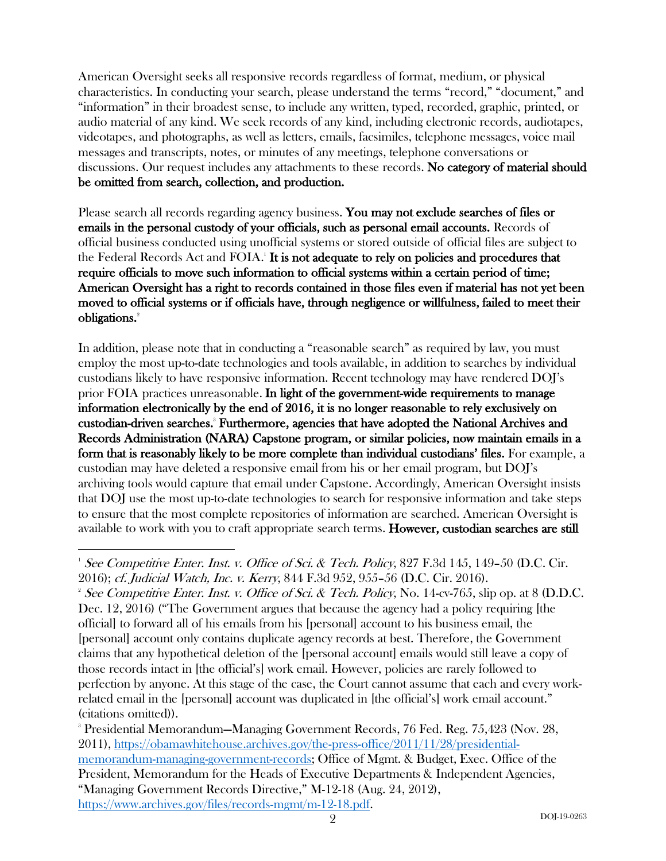American Oversight seeks all responsive records regardless of format, medium, or physical characteristics. In conducting your search, please understand the terms "record," "document," and "information" in their broadest sense, to include any written, typed, recorded, graphic, printed, or audio material of any kind. We seek records of any kind, including electronic records, audiotapes, videotapes, and photographs, as well as letters, emails, facsimiles, telephone messages, voice mail messages and transcripts, notes, or minutes of any meetings, telephone conversations or discussions. Our request includes any attachments to these records. No category of material should be omitted from search, collection, and production.

Please search all records regarding agency business. You may not exclude searches of files or emails in the personal custody of your officials, such as personal email accounts. Records of official business conducted using unofficial systems or stored outside of official files are subject to the Federal Records Act and FOIA.<sup>1</sup> It is not adequate to rely on policies and procedures that require officials to move such information to official systems within a certain period of time; American Oversight has a right to records contained in those files even if material has not yet been moved to official systems or if officials have, through negligence or willfulness, failed to meet their obligations.<sup>2</sup>

In addition, please note that in conducting a "reasonable search" as required by law, you must employ the most up-to-date technologies and tools available, in addition to searches by individual custodians likely to have responsive information. Recent technology may have rendered DOJ's prior FOIA practices unreasonable. In light of the government-wide requirements to manage information electronically by the end of 2016, it is no longer reasonable to rely exclusively on custodian-driven searches.<sup>3</sup> Furthermore, agencies that have adopted the National Archives and Records Administration (NARA) Capstone program, or similar policies, now maintain emails in a form that is reasonably likely to be more complete than individual custodians' files. For example, a custodian may have deleted a responsive email from his or her email program, but DOJ's archiving tools would capture that email under Capstone. Accordingly, American Oversight insists that DOJ use the most up-to-date technologies to search for responsive information and take steps to ensure that the most complete repositories of information are searched. American Oversight is available to work with you to craft appropriate search terms. However, custodian searches are still

 $\overline{a}$ <sup>1</sup> See Competitive Enter. Inst. v. Office of Sci. & Tech. Policy, 827 F.3d 145, 149–50 (D.C. Cir. 2016); cf. Judicial Watch, Inc. v. Kerry, 844 F.3d 952, 955–56 (D.C. Cir. 2016). 2

<sup>&</sup>lt;sup>2</sup> See Competitive Enter. Inst. v. Office of Sci. & Tech. Policy, No. 14-cv-765, slip op. at 8 (D.D.C. Dec. 12, 2016) ("The Government argues that because the agency had a policy requiring [the official] to forward all of his emails from his [personal] account to his business email, the [personal] account only contains duplicate agency records at best. Therefore, the Government claims that any hypothetical deletion of the [personal account] emails would still leave a copy of those records intact in [the official's] work email. However, policies are rarely followed to perfection by anyone. At this stage of the case, the Court cannot assume that each and every workrelated email in the [personal] account was duplicated in [the official's] work email account." (citations omitted)).

<sup>3</sup> Presidential Memorandum—Managing Government Records, 76 Fed. Reg. 75,423 (Nov. 28, 2011), https://obamawhitehouse.archives.gov/the-press-office/2011/11/28/presidentialmemorandum-managing-government-records; Office of Mgmt. & Budget, Exec. Office of the President, Memorandum for the Heads of Executive Departments & Independent Agencies, "Managing Government Records Directive," M-12-18 (Aug. 24, 2012), https://www.archives.gov/files/records-mgmt/m-12-18.pdf.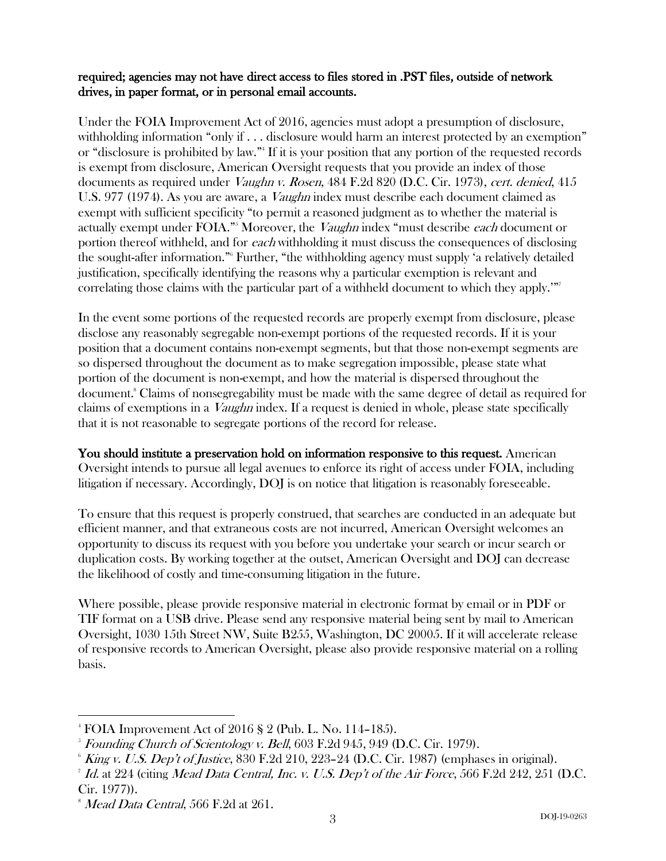#### required; agencies may not have direct access to files stored in .PST files, outside of network drives, in paper format, or in personal email accounts.

Under the FOIA Improvement Act of 2016, agencies must adopt a presumption of disclosure, withholding information "only if . . . disclosure would harm an interest protected by an exemption" or "disclosure is prohibited by law."4 If it is your position that any portion of the requested records is exempt from disclosure, American Oversight requests that you provide an index of those documents as required under *Vaughn v. Rosen*, 484 F.2d 820 (D.C. Cir. 1973), cert. denied, 415 U.S. 977 (1974). As you are aware, a *Vaughn* index must describe each document claimed as exempt with sufficient specificity "to permit a reasoned judgment as to whether the material is actually exempt under FOIA."<sup>5</sup> Moreover, the *Vaughn* index "must describe each document or portion thereof withheld, and for each withholding it must discuss the consequences of disclosing the sought-after information."6 Further, "the withholding agency must supply 'a relatively detailed justification, specifically identifying the reasons why a particular exemption is relevant and correlating those claims with the particular part of a withheld document to which they apply.'"<sup>7</sup>

In the event some portions of the requested records are properly exempt from disclosure, please disclose any reasonably segregable non-exempt portions of the requested records. If it is your position that a document contains non-exempt segments, but that those non-exempt segments are so dispersed throughout the document as to make segregation impossible, please state what portion of the document is non-exempt, and how the material is dispersed throughout the document.8 Claims of nonsegregability must be made with the same degree of detail as required for claims of exemptions in a Vaughn index. If a request is denied in whole, please state specifically that it is not reasonable to segregate portions of the record for release.

You should institute a preservation hold on information responsive to this request. American Oversight intends to pursue all legal avenues to enforce its right of access under FOIA, including litigation if necessary. Accordingly, DOJ is on notice that litigation is reasonably foreseeable.

To ensure that this request is properly construed, that searches are conducted in an adequate but efficient manner, and that extraneous costs are not incurred, American Oversight welcomes an opportunity to discuss its request with you before you undertake your search or incur search or duplication costs. By working together at the outset, American Oversight and DOJ can decrease the likelihood of costly and time-consuming litigation in the future.

Where possible, please provide responsive material in electronic format by email or in PDF or TIF format on a USB drive. Please send any responsive material being sent by mail to American Oversight, 1030 15th Street NW, Suite B255, Washington, DC 20005. If it will accelerate release of responsive records to American Oversight, please also provide responsive material on a rolling basis.

 $\overline{a}$ 

<sup>4</sup> FOIA Improvement Act of 2016 § 2 (Pub. L. No. 114–185).

 $^{\circ}$  Founding Church of Scientology v. Bell,  $603$  F.2d  $945,$   $949$  (D.C. Cir. 1979).

 $6$  King v. U.S. Dep't of Justice, 830 F.2d 210, 223–24 (D.C. Cir. 1987) (emphases in original).

 $7$  Id. at  $224$  (citing Mead Data Central, Inc. v. U.S. Dep't of the Air Force, 566 F.2d  $242$ ,  $251$  (D.C. Cir. 1977)).

 $^8$  *Mead Data Central*, 566 F.2d at 261.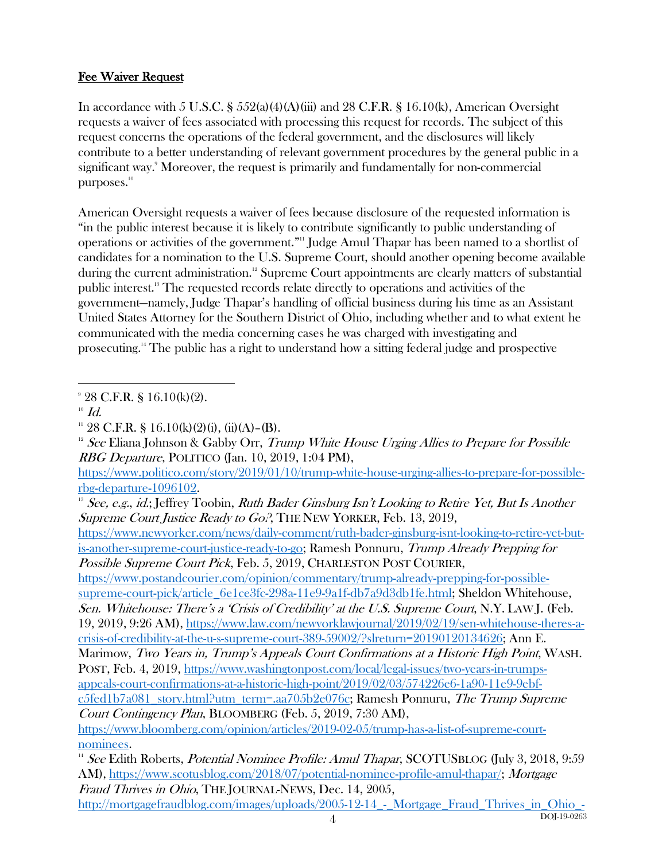# Fee Waiver Request

In accordance with 5 U.S.C. §  $552(a)(4)(A)(iii)$  and 28 C.F.R. § 16.10(k), American Oversight requests a waiver of fees associated with processing this request for records. The subject of this request concerns the operations of the federal government, and the disclosures will likely contribute to a better understanding of relevant government procedures by the general public in a significant way.9 Moreover, the request is primarily and fundamentally for non-commercial purposes.<sup>10</sup>

American Oversight requests a waiver of fees because disclosure of the requested information is "in the public interest because it is likely to contribute significantly to public understanding of operations or activities of the government."11 Judge Amul Thapar has been named to a shortlist of candidates for a nomination to the U.S. Supreme Court, should another opening become available during the current administration.<sup>12</sup> Supreme Court appointments are clearly matters of substantial public interest.13 The requested records relate directly to operations and activities of the government—namely, Judge Thapar's handling of official business during his time as an Assistant United States Attorney for the Southern District of Ohio, including whether and to what extent he communicated with the media concerning cases he was charged with investigating and prosecuting.14 The public has a right to understand how a sitting federal judge and prospective

 $\overline{a}$ 9 28 C.F.R. § 16.10(k)(2).

https://www.postandcourier.com/opinion/commentary/trump-already-prepping-for-possiblesupreme-court-pick/article\_6e1ce3fc-298a-11e9-9a1f-db7a9d3db1fe.html; Sheldon Whitehouse, Sen. Whitehouse: There's a 'Crisis of Credibility' at the U.S. Supreme Court, N.Y. LAW J. (Feb.

19, 2019, 9:26 AM), https://www.law.com/newyorklawjournal/2019/02/19/sen-whitehouse-theres-acrisis-of-credibility-at-the-u-s-supreme-court-389-59002/?slreturn=20190120134626; Ann E.

Marimow, Two Years in, Trump's Appeals Court Confirmations at a Historic High Point, WASH. POST, Feb. 4, 2019, https://www.washingtonpost.com/local/legal-issues/two-years-in-trumps-

appeals-court-confirmations-at-a-historic-high-point/2019/02/03/574226e6-1a90-11e9-9ebfc5fed1b7a081\_story.html?utm\_term=.aa705b2e076c; Ramesh Ponnuru, The Trump Supreme Court Contingency Plan, BLOOMBERG (Feb. 5, 2019, 7:30 AM),

https://www.bloomberg.com/opinion/articles/2019-02-05/trump-has-a-list-of-supreme-courtnominees.

 $10$  Id.

 $11$  28 C.F.R. § 16.10(k)(2)(i), (ii)(A)–(B).

<sup>&</sup>lt;sup>12</sup> See Eliana Johnson & Gabby Orr, Trump White House Urging Allies to Prepare for Possible RBG Departure, POLITICO (Jan. 10, 2019, 1:04 PM),

https://www.politico.com/story/2019/01/10/trump-white-house-urging-allies-to-prepare-for-possiblerbg-departure-1096102.

<sup>&</sup>lt;sup>13</sup> See, e.g., id.; Jeffrey Toobin, Ruth Bader Ginsburg Isn't Looking to Retire Yet, But Is Another Supreme Court Justice Ready to Go?, THE NEW YORKER, Feb. 13, 2019,

https://www.newyorker.com/news/daily-comment/ruth-bader-ginsburg-isnt-looking-to-retire-yet-butis-another-supreme-court-justice-ready-to-go; Ramesh Ponnuru, Trump Already Prepping for Possible Supreme Court Pick, Feb. 5, 2019, CHARLESTON POST COURIER,

<sup>&</sup>lt;sup>14</sup> See Edith Roberts, *Potential Nominee Profile: Amul Thapar*, SCOTUSBLOG (July 3, 2018, 9:59 AM), https://www.scotusblog.com/2018/07/potential-nominee-profile-amul-thapar/; Mortgage Fraud Thrives in Ohio, THE JOURNAL-NEWS, Dec. 14, 2005,

DOJ-19-0263 4 http://mortgagefraudblog.com/images/uploads/2005-12-14\_-\_Mortgage\_Fraud\_Thrives\_in\_Ohio\_-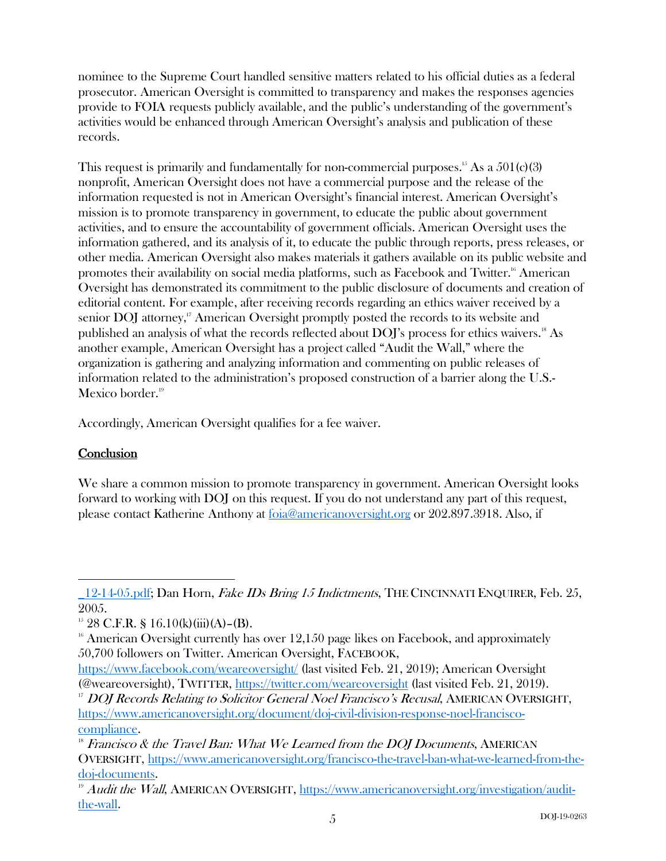nominee to the Supreme Court handled sensitive matters related to his official duties as a federal prosecutor. American Oversight is committed to transparency and makes the responses agencies provide to FOIA requests publicly available, and the public's understanding of the government's activities would be enhanced through American Oversight's analysis and publication of these records.

This request is primarily and fundamentally for non-commercial purposes.<sup>15</sup> As a  $501(c)(3)$ nonprofit, American Oversight does not have a commercial purpose and the release of the information requested is not in American Oversight's financial interest. American Oversight's mission is to promote transparency in government, to educate the public about government activities, and to ensure the accountability of government officials. American Oversight uses the information gathered, and its analysis of it, to educate the public through reports, press releases, or other media. American Oversight also makes materials it gathers available on its public website and promotes their availability on social media platforms, such as Facebook and Twitter.<sup>16</sup> American Oversight has demonstrated its commitment to the public disclosure of documents and creation of editorial content. For example, after receiving records regarding an ethics waiver received by a senior DOJ attorney,<sup>17</sup> American Oversight promptly posted the records to its website and published an analysis of what the records reflected about DOJ's process for ethics waivers.<sup>18</sup> As another example, American Oversight has a project called "Audit the Wall," where the organization is gathering and analyzing information and commenting on public releases of information related to the administration's proposed construction of a barrier along the U.S.- Mexico border.<sup>19</sup>

Accordingly, American Oversight qualifies for a fee waiver.

# **Conclusion**

 $\overline{a}$ 

We share a common mission to promote transparency in government. American Oversight looks forward to working with DOJ on this request. If you do not understand any part of this request, please contact Katherine Anthony at foia@americanoversight.org or 202.897.3918. Also, if

<sup>12-14-05.</sup>pdf; Dan Horn, *Fake IDs Bring 15 Indictments*, THE CINCINNATI ENQUIRER, Feb. 25, 2005.

<sup>&</sup>lt;sup>15</sup> 28 C.F.R. § 16.10(k)(iii)(A)–(B).

 $16$  American Oversight currently has over  $12,150$  page likes on Facebook, and approximately 50,700 followers on Twitter. American Oversight, FACEBOOK,

https://www.facebook.com/weareoversight/ (last visited Feb. 21, 2019); American Oversight (@weareoversight), TWITTER, https://twitter.com/weareoversight (last visited Feb. 21, 2019).

<sup>&</sup>lt;sup>17</sup> DOJ Records Relating to Solicitor General Noel Francisco's Recusal, AMERICAN OVERSIGHT, https://www.americanoversight.org/document/doj-civil-division-response-noel-francisco- $\frac{\text{compliance.}}{\text{N}}$  Francisco & the Travel Ban: What We Learned from the DOJ Documents, AMERICAN

OVERSIGHT, https://www.americanoversight.org/francisco-the-travel-ban-what-we-learned-from-thedoj-documents.<br><sup>19</sup> Audit the Wall, AMERICAN OVERSIGHT, https://www.americanoversight.org/investigation/audit-

the-wall.